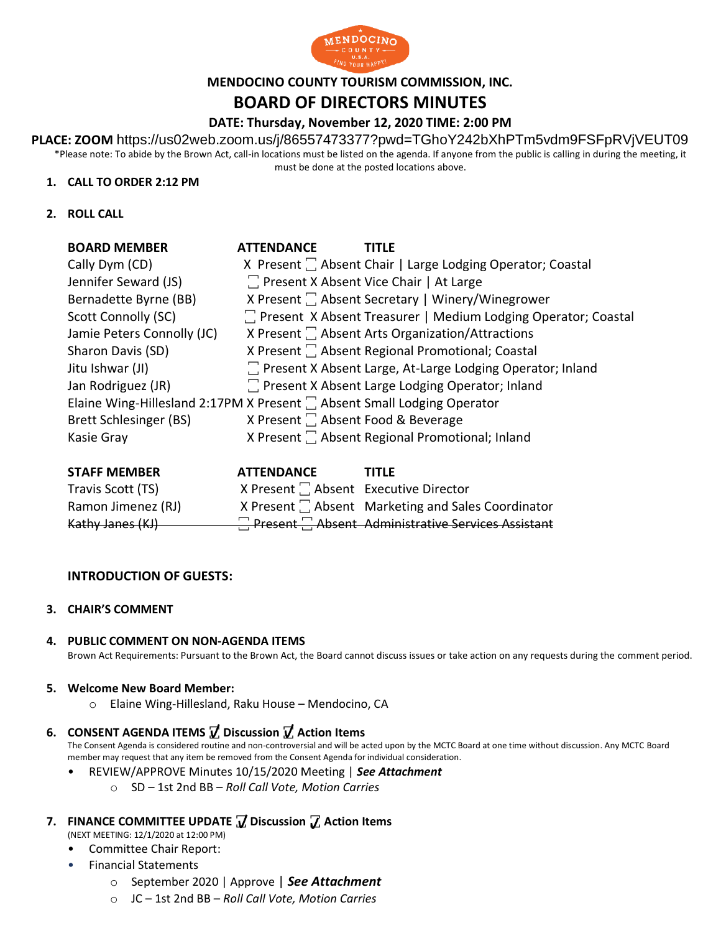

# **MENDOCINO COUNTY TOURISM COMMISSION, INC.**

# **BOARD OF DIRECTORS MINUTES**

## **DATE: Thursday, November 12, 2020 TIME: 2:00 PM**

**PLACE: ZOOM** https://us02web.zoom.us/j/86557473377?pwd=TGhoY242bXhPTm5vdm9FSFpRVjVEUT09 \*Please note: To abide by the Brown Act, call-in locations must be listed on the agenda. If anyone from the public is calling in during the meeting, it

must be done at the posted locations above.

### **1. CALL TO ORDER 2:12 PM**

**2. ROLL CALL**

| <b>BOARD MEMBER</b>        | <b>ATTENDANCE</b> | <b>TITLF</b>                                                             |
|----------------------------|-------------------|--------------------------------------------------------------------------|
| Cally Dym (CD)             |                   | X Present  C Absent Chair   Large Lodging Operator; Coastal              |
| Jennifer Seward (JS)       |                   | T Present X Absent Vice Chair   At Large                                 |
| Bernadette Byrne (BB)      |                   | X Present  C Absent Secretary   Winery/Winegrower                        |
| Scott Connolly (SC)        |                   | 7 Present X Absent Treasurer   Medium Lodging Operator; Coastal          |
| Jamie Peters Connolly (JC) |                   | X Present $\Box$ Absent Arts Organization/Attractions                    |
| Sharon Davis (SD)          |                   |                                                                          |
| Jitu Ishwar (JI)           |                   | 7 Present X Absent Large, At-Large Lodging Operator; Inland              |
| Jan Rodriguez (JR)         |                   | T Present X Absent Large Lodging Operator; Inland                        |
|                            |                   | Elaine Wing-Hillesland 2:17PM X Present  C Absent Small Lodging Operator |
| Brett Schlesinger (BS)     |                   | X Present <sup>1</sup> Absent Food & Beverage                            |
| Kasie Gray                 |                   | X Present $\Box$ Absent Regional Promotional; Inland                     |
|                            |                   |                                                                          |

| <b>STAFF MEMBER</b> | <b>ATTENDANCE</b>                     | <b>TITLF</b>                                       |
|---------------------|---------------------------------------|----------------------------------------------------|
| Travis Scott (TS)   | X Present   Absent Executive Director |                                                    |
| Ramon Jimenez (RJ)  |                                       | X Present C Absent Marketing and Sales Coordinator |
| Kathy Janes (KJ)    |                                       | Present Absent Administrative Services Assistant   |

### **INTRODUCTION OF GUESTS:**

**3. CHAIR'S COMMENT**

### **4. PUBLIC COMMENT ON NON-AGENDA ITEMS**

Brown Act Requirements: Pursuant to the Brown Act, the Board cannot discuss issues or take action on any requests during the comment period.

#### **5. Welcome New Board Member:**

- o Elaine Wing-Hillesland, Raku House Mendocino, CA
- **6. CONSENT AGENDA ITEMS ꙱ Discussion ꙱ Action Items**

The Consent Agenda is considered routine and non-controversial and will be acted upon by the MCTC Board at one time without discussion. Any MCTC Board member may request that any item be removed from the Consent Agenda for individual consideration.

- REVIEW/APPROVE Minutes 10/15/2020 Meeting | *See Attachment*
	- o SD 1st 2nd BB *Roll Call Vote, Motion Carries*
- **7. FINANCE COMMITTEE UPDATE**  $\overline{V}$  **Discussion**  $\overline{V}$  **Action Items** 
	- (NEXT MEETING: 12/1/2020 at 12:00 PM)
	- Committee Chair Report:
	- Financial Statements
		- o September 2020 | Approve | *See Attachment* m
		- o JC 1st 2nd BB *Roll Call Vote, Motion Carries* i t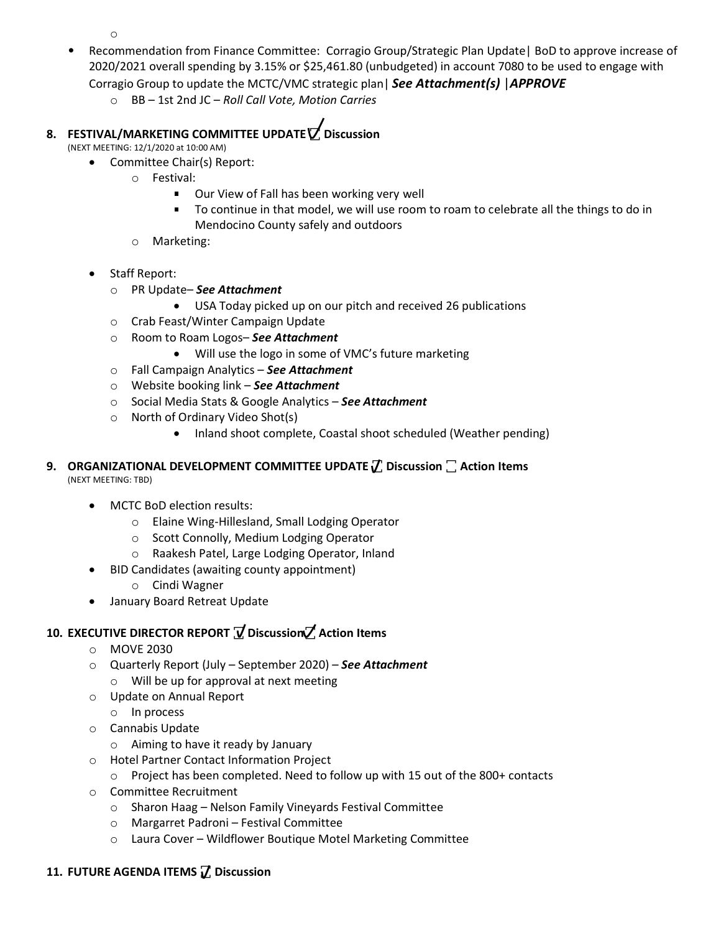o

- Recommendation from Finance Committee: Corragio Group/Strategic Plan Update| BoD to approve increase of 2020/2021 overall spending by 3.15% or \$25,461.80 (unbudgeted) in account 7080 to be used to engage with Corragio Group to update the MCTC/VMC strategic plan| *See Attachment(s)* |*APPROVE*
	- o BB 1st 2nd JC *Roll Call Vote, Motion Carries*

# **8. FESTIVAL/MARKETING COMMITTEE UPDATE ꙱ Discussion**

(NEXT MEETING: 12/1/2020 at 10:00 AM)

- Committee Chair(s) Report:
	- o Festival:
		- **Dur View of Fall has been working very well**
		- To continue in that model, we will use room to roam to celebrate all the things to do in Mendocino County safely and outdoors
	- o Marketing:
- Staff Report:
	- o PR Update– *See Attachment*
		- USA Today picked up on our pitch and received 26 publications
	- o Crab Feast/Winter Campaign Update
	- o Room to Roam Logos– *See Attachment*
		- Will use the logo in some of VMC's future marketing
	- o Fall Campaign Analytics *See Attachment*
	- o Website booking link *See Attachment*
	- o Social Media Stats & Google Analytics *See Attachment*
	- o North of Ordinary Video Shot(s)
		- Inland shoot complete, Coastal shoot scheduled (Weather pending)

### **9. ORGANIZATIONAL DEVELOPMENT COMMITTEE UPDATE**  $\boldsymbol{\mathcal{U}}$  **Discussion**  $\boldsymbol{\mathcal{C}}$  **Action Items<br>(NEVT MEETING: TRD)** (NEXT MEETING: TBD)

- MCTC BoD election results:
	- o Elaine Wing-Hillesland, Small Lodging Operator
	- o Scott Connolly, Medium Lodging Operator
	- o Raakesh Patel, Large Lodging Operator, Inland
- BID Candidates (awaiting county appointment)
	- o Cindi Wagner
- January Board Retreat Update

# **10. EXECUTIVE DIRECTOR REPORT ꙱ Discussion꙱ Action Items**

- o MOVE 2030
- o Quarterly Report (July September 2020) *See Attachment* o Will be up for approval at next meeting
- o Update on Annual Report
- o In process
- o Cannabis Update
	- o Aiming to have it ready by January
- o Hotel Partner Contact Information Project
	- $\circ$  Project has been completed. Need to follow up with 15 out of the 800+ contacts
- o Committee Recruitment
	- o Sharon Haag Nelson Family Vineyards Festival Committee
	- o Margarret Padroni Festival Committee
	- o Laura Cover Wildflower Boutique Motel Marketing Committee

## **11. FUTURE AGENDA ITEMS ꙱ Discussion**